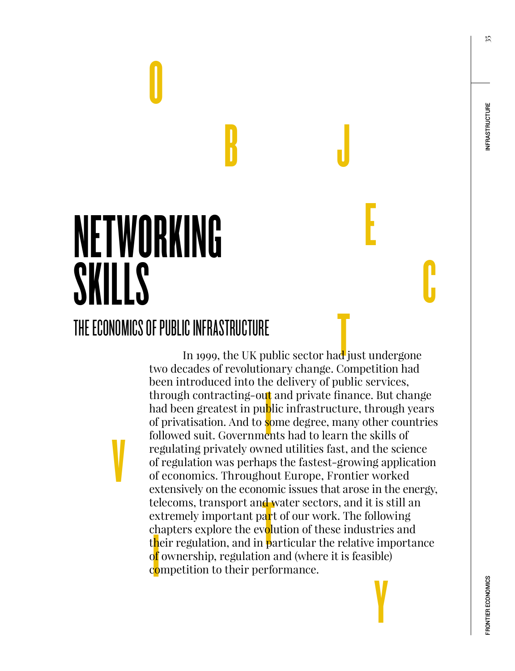35

# NETWORKING **SKILLS**

V

O

### THE ECONOMICS OF PUBLIC INFRASTRUCTURE

 $\begin{bmatrix} 1 \\ 1 \end{bmatrix}$ n tt b<br>sc<br>er elecoms, transport and vextremely important part<br>extremely important part<br>chapters explore the evolution<br>of ownership, regulation<br>competition to their perfo Y In 1999, the UK public sector had just undergone two decades of revolutionary change. Competition had been introduced into the delivery of public services, through contracting-out and private finance. But change had been greatest in public infrastructure, through years of privatisation. And to some degree, many other countries followed suit. Governments had to learn the skills of regulating privately owned utilities fast, and the science of regulation was perhaps the fastest-growing application of economics. Throughout Europe, Frontier worked extensively on the economic issues that arose in the energy, telecoms, transport and water sectors, and it is still an extremely important part of our work. The following chapters explore the evolution of these industries and their regulation, and in particular the relative importance o<mark>f</mark> ownership, regulation and (where it is feasible) competition to their performance.

 $\mathbf{B}$ 

E

C

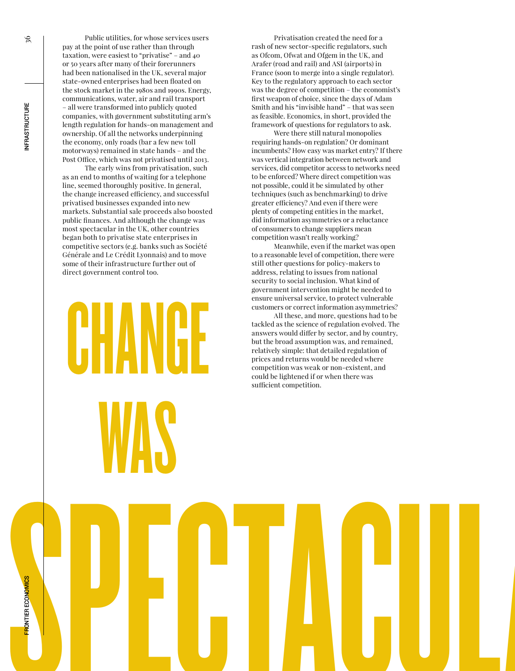Public utilities, for whose services users pay at the point of use rather than through taxation, were easiest to "privatise" – and 40 or 50 years after many of their forerunners had been nationalised in the UK, several major state-owned enterprises had been floated on the stock market in the 1980s and 1990s. Energy, communications, water, air and rail transport – all were transformed into publicly quoted companies, with government substituting arm's length regulation for hands-on management and ownership. Of all the networks underpinning the economy, only roads (bar a few new toll motorways) remained in state hands – and the Post Office, which was not privatised until 2013.

The early wins from privatisation, such as an end to months of waiting for a telephone line, seemed thoroughly positive. In general, the change increased efficiency, and successful privatised businesses expanded into new markets. Substantial sale proceeds also boosted public finances. And although the change was most spectacular in the UK, other countries began both to privatise state enterprises in competitive sectors (e.g. banks such as Société Générale and Le Crédit Lyonnais) and to move some of their infrastructure further out of direct government control too.

CHANGE

WAS

Privatisation created the need for a rash of new sector-specific regulators, such as Ofcom, Ofwat and Ofgem in the UK, and Arafer (road and rail) and ASI (airports) in France (soon to merge into a single regulator). Key to the regulatory approach to each sector was the degree of competition – the economist's first weapon of choice, since the days of Adam Smith and his "invisible hand" – that was seen as feasible. Economics, in short, provided the framework of questions for regulators to ask.

Were there still natural monopolies requiring hands-on regulation? Or dominant incumbents? How easy was market entry? If there was vertical integration between network and services, did competitor access to networks need to be enforced? Where direct competition was not possible, could it be simulated by other techniques (such as benchmarking) to drive greater efficiency? And even if there were plenty of competing entities in the market, did information asymmetries or a reluctance of consumers to change suppliers mean competition wasn't really working?

Meanwhile, even if the market was open to a reasonable level of competition, there were still other questions for policy-makers to address, relating to issues from national security to social inclusion. What kind of government intervention might be needed to ensure universal service, to protect vulnerable customers or correct information asymmetries?

All these, and more, questions had to be tackled as the science of regulation evolved. The answers would differ by sector, and by country, but the broad assumption was, and remained, relatively simple: that detailed regulation of prices and returns would be needed where competition was weak or non-existent, and could be lightened if or when there was sufficient competition.

SPECTACUL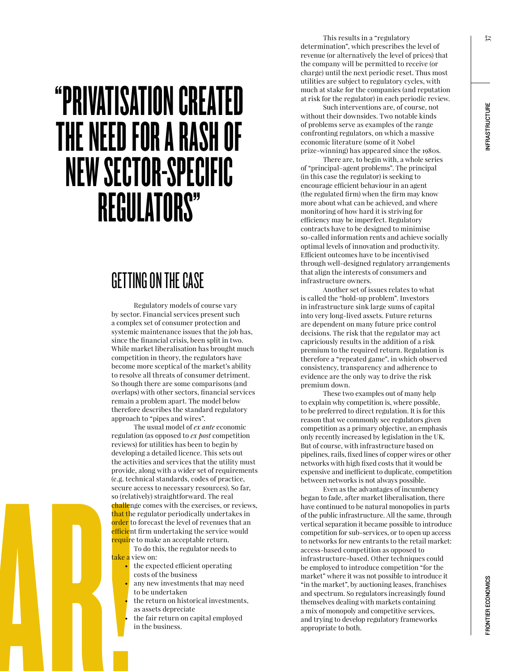37

## "PRIVATISATION CREATED THE NEED FOR A RASH OF NEW SECTOR-SPECIFIC REGULATORS"

## GETTING ON THE CASE

Regulatory models of course vary by sector. Financial services present such a complex set of consumer protection and systemic maintenance issues that the job has, since the financial crisis, been split in two. While market liberalisation has brought much competition in theory, the regulators have become more sceptical of the market's ability to resolve all threats of consumer detriment. So though there are some comparisons (and overlaps) with other sectors, financial services remain a problem apart. The model below therefore describes the standard regulatory approach to "pipes and wires".

SPECTACULAR! The usual model of *ex ante* economic regulation (as opposed to *ex post* competition reviews) for utilities has been to begin by developing a detailed licence. This sets out the activities and services that the utility must provide, along with a wider set of requirements (e.g. technical standards, codes of practice, secure access to necessary resources). So far, so (relatively) straightforward. The real challenge comes with the exercises, or reviews, that the regulator periodically undertakes in order to forecast the level of revenues that an efficient firm undertaking the service would require to make an acceptable return.

To do this, the regulator needs to t<mark>ake a</mark> view on:

- the expected efficient operating costs of the business
- any new investments that may need to be undertaken
- the return on historical investments. as assets depreciate
- the fair return on capital employed in the business.

This results in a "regulatory determination", which prescribes the level of revenue (or alternatively the level of prices) that the company will be permitted to receive (or charge) until the next periodic reset. Thus most utilities are subject to regulatory cycles, with much at stake for the companies (and reputation at risk for the regulator) in each periodic review.

Such interventions are, of course, not without their downsides. Two notable kinds of problems serve as examples of the range confronting regulators, on which a massive economic literature (some of it Nobel prize-winning) has appeared since the 1980s.

There are, to begin with, a whole series of "principal–agent problems". The principal (in this case the regulator) is seeking to encourage efficient behaviour in an agent (the regulated firm) when the firm may know more about what can be achieved, and where monitoring of how hard it is striving for efficiency may be imperfect. Regulatory contracts have to be designed to minimise so-called information rents and achieve socially optimal levels of innovation and productivity. Efficient outcomes have to be incentivised through well-designed regulatory arrangements that align the interests of consumers and infrastructure owners.

Another set of issues relates to what is called the "hold-up problem". Investors in infrastructure sink large sums of capital into very long-lived assets. Future returns are dependent on many future price control decisions. The risk that the regulator may act capriciously results in the addition of a risk premium to the required return. Regulation is therefore a "repeated game", in which observed consistency, transparency and adherence to evidence are the only way to drive the risk premium down.

These two examples out of many help to explain why competition is, where possible, to be preferred to direct regulation. It is for this reason that we commonly see regulators given competition as a primary objective, an emphasis only recently increased by legislation in the UK. But of course, with infrastructure based on pipelines, rails, fixed lines of copper wires or other networks with high fixed costs that it would be expensive and inefficient to duplicate, competition between networks is not always possible.

Even as the advantages of incumbency began to fade, after market liberalisation, there have continued to be natural monopolies in parts of the public infrastructure. All the same, through vertical separation it became possible to introduce competition for sub-services, or to open up access to networks for new entrants to the retail market: access-based competition as opposed to infrastructure-based. Other techniques could be employed to introduce competition "for the market" where it was not possible to introduce it "in the market", by auctioning leases, franchises and spectrum. So regulators increasingly found themselves dealing with markets containing a mix of monopoly and competitive services, and trying to develop regulatory frameworks appropriate to both.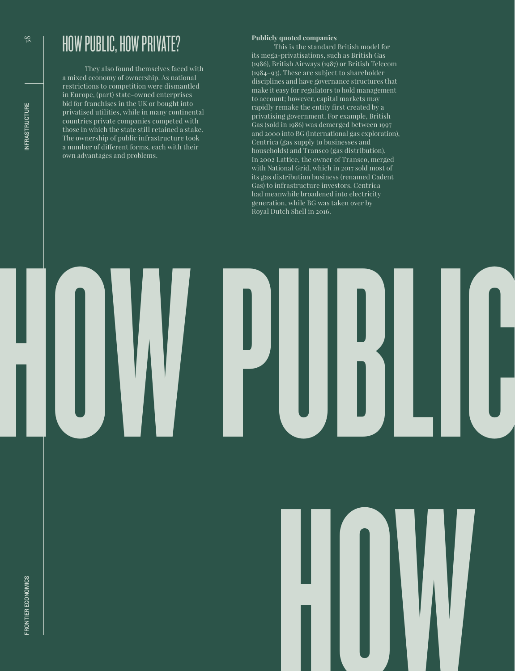## HOW PUBLIC, HOW PRIVATE?

They also found themselves faced with a mixed economy of ownership. As national restrictions to competition were dismantled in Europe, (part) state-owned enterprises bid for franchises in the UK or bought into privatised utilities, while in many continental countries private companies competed with those in which the state still retained a stake. The ownership of public infrastructure took a number of different forms, each with their own advantages and problems.

#### **Publicly quoted companies**

This is the standard British model for its mega-privatisations, such as British Gas (1986), British Airways (1987) or British Telecom (1984–93). These are subject to shareholder disciplines and have governance structures that make it easy for regulators to hold management to account; however, capital markets may rapidly remake the entity first created by a privatising government. For example, British Gas (sold in 1986) was demerged between 1997 and 2000 into BG (international gas exploration), Centrica (gas supply to businesses and households) and Transco (gas distribution). In 2002 Lattice, the owner of Transco, merged with National Grid, which in 2017 sold most of its gas distribution business (renamed Cadent Gas) to infrastructure investors. Centrica had meanwhile broadened into electricity generation, while BG was taken over by Royal Dutch Shell in 2016.



FRONTIER ECONOMICS



 $38$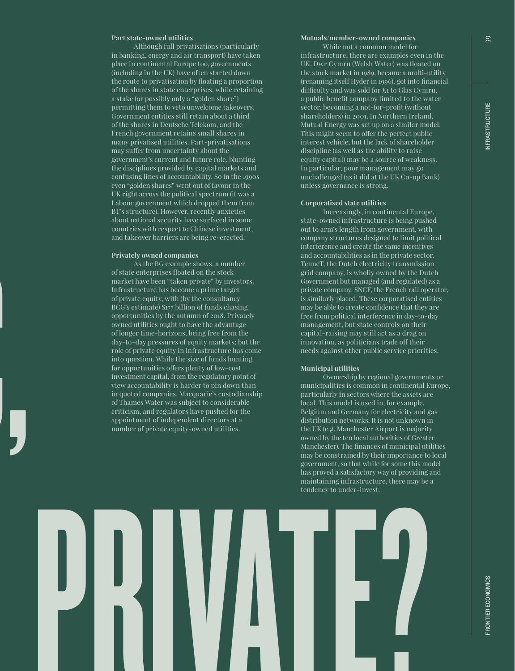#### **Part state-owned utilities**

Although full privatisations (particularly in banking, energy and air transport) have taken place in continental Europe too, governments (including in the UK) have often started down the route to privatisation by floating a proportion of the shares in state enterprises, while retaining a stake (or possibly only a "golden share") permitting them to veto unwelcome takeovers. Government entities still retain about a third of the shares in Deutsche Telekom, and the French government retains small shares in many privatised utilities. Part-privatisations may suffer from uncertainty about the government's current and future role, blunting the disciplines provided by capital markets and confusing lines of accountability. So in the 1990s even "golden shares" went out of favour in the UK right across the political spectrum (it was a Labour government which dropped them from BT's structure). However, recently anxieties about national security have surfaced in some countries with respect to Chinese investment, and takeover barriers are being re-erected.

#### **Privately owned companies**

 $\left.\rule{0pt}{12pt}\right\vert$ 

As the BG example shows, a number of state enterprises floated on the stock market have been "taken private" by investors. Infrastructure has become a prime target of private equity, with (by the consultancy BCG's estimate) \$177 billion of funds chasing opportunities by the autumn of 2018. Privately owned utilities ought to have the advantage of longer time-horizons, being free from the day-to-day pressures of equity markets; but the role of private equity in infrastructure has come into question. While the size of funds hunting for opportunities offers plenty of low-cost investment capital, from the regulatory point of view accountability is harder to pin down than in quoted companies. Macquarie's custodianship of Thames Water was subject to considerable criticism, and regulators have pushed for the appointment of independent directors at a number of private equity-owned utilities.

#### **Mutuals/member-owned companies**

While not a common model for infrastructure, there are examples even in the UK. Dwr Cymru (Welsh Water) was floated on the stock market in 1989, became a multi-utility (renaming itself Hyder in 1996), got into financial difficulty and was sold for £1 to Glas Cymru, a public benefit company limited to the water sector, becoming a not-for-profit (without shareholders) in 2001. In Northern Ireland, Mutual Energy was set up on a similar model. This might seem to offer the perfect public interest vehicle, but the lack of shareholder discipline (as well as the ability to raise equity capital) may be a source of weakness. In particular, poor management may go unchallenged (as it did at the UK Co-op Bank) unless governance is strong.

#### **Corporatised state utilities**

Increasingly, in continental Europe, state-owned infrastructure is being pushed out to arm's length from government, with company structures designed to limit political interference and create the same incentives and accountabilities as in the private sector. TenneT, the Dutch electricity transmission grid company, is wholly owned by the Dutch Government but managed (and regulated) as a private company. SNCF, the French rail operator, is similarly placed. These corporatised entities may be able to create confidence that they are free from political interference in day-to-day management, but state controls on their capital-raising may still act as a drag on innovation, as politicians trade off their needs against other public service priorities.

#### **Municipal utilities**

**PRIVATE** Ownership by regional governments or municipalities is common in continental Europe, particularly in sectors where the assets are local. This model is used in, for example, Belgium and Germany for electricity and gas distribution networks. It is not unknown in the UK (e.g. Manchester Airport is majority owned by the ten local authorities of Greater Manchester). The finances of municipal utilities may be constrained by their importance to local government, so that while for some this model has proved a satisfactory way of providing and maintaining infrastructure, there may be a tendency to under-invest.